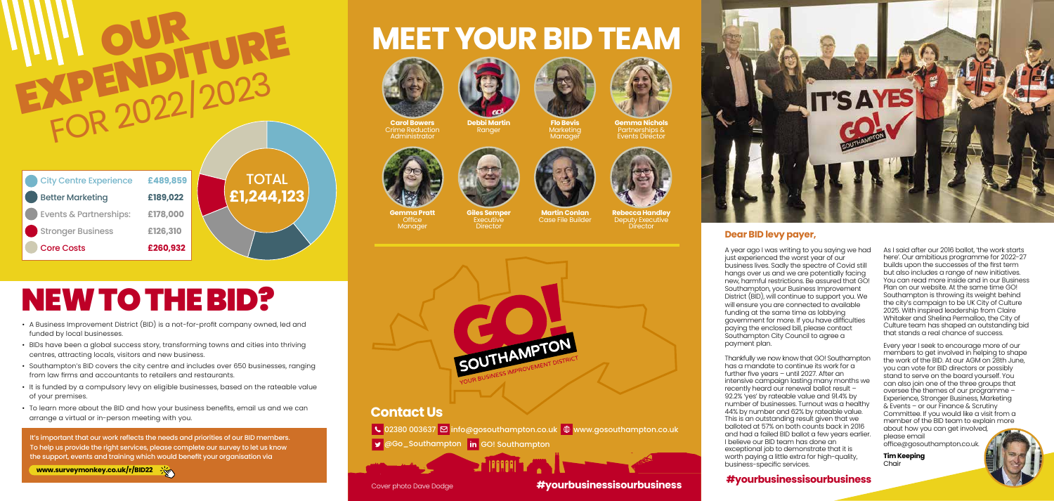#### **Dear BID levy payer,**

A year ago I was writing to you saying we had just experienced the worst year of our business lives. Sadly the spectre of Covid still hangs over us and we are potentially facing new, harmful restrictions. Be assured that GO! Southampton, your Business Improvement District (BID), will continue to support you. We will ensure you are connected to available funding at the same time as lobbying government for more. If you have difficulties paying the enclosed bill, please contact Southampton City Council to agree a

payment plan.



Thankfully we now know that GO! Southampton has a mandate to continue its work for a further five years – until 2027. After an intensive campaign lasting many months we recently heard our renewal ballot result – 92.2% 'yes' by rateable value and 91.4% by number of businesses. Turnout was a healthy 44% by number and 62% by rateable value. This is an outstanding result given that we balloted at 57% on both counts back in 2016 and had a failed BID ballot a few years earlier. I believe our BID team has done an exceptional job to demonstrate that it is worth paying a little extra for high-quality, business-specific services.

As I said after our 2016 ballot, 'the work starts here'. Our ambitious programme for 2022-27 builds upon the successes of the first term but also includes a range of new initiatives. You can read more inside and in our Business Plan on our website. At the same time GO! Southampton is throwing its weight behind the city's campaign to be UK City of Culture 2025. With inspired leadership from Claire Whitaker and Shelina Permalloo, the City of Culture team has shaped an outstanding bid that stands a real chance of success.

**Giles Semper** Executive **Director** 





### **Example & Partnerships: WEET YOUR BID TEAM** Stronger Business **£115,000** Core Costs **£260,932**



lt's important that our work reflects the needs and priorities of our BID members.<br>To help us provide the right services, please complete our survey to let us know the support, events and training which would benefit your organisation via

**www.surveymonkey.co.uk/r/BID22** 

Every year I seek to encourage more of our members to get involved in helping to shape the work of the BID. At our AGM on 28th June, you can vote for BID directors or possibly stand to serve on the board yourself. You can also join one of the three groups that oversee the themes of our programme – Experience, Stronger Business, Marketing & Events – or our Finance & Scrutiny Committee. If you would like a visit from a member of the BID team to explain more about how you can get involved, please email

office@gosouthampton.co.uk.

**Tim Keeping** Chair



- A Business Improvement District (BID) is a not-for-profit company owned, led and funded by local businesses.
- BIDs have been a global success story, transforming towns and cities into thriving centres, attracting locals, visitors and new business.
- Southampton's BID covers the city centre and includes over 650 businesses, ranging from law firms and accountants to retailers and restaurants.
- It is funded by a compulsory levy on eligible businesses, based on the rateable value of your premises.
- To learn more about the BID and how your business benefits, email us and we can arrange a virtual or in-person meeting with you.

# NEW TO THE BID?

**WILL OUR FURE** 

FOR 2022 2023

### **Contact Us**

 $\overline{\phantom{a}}$  02380 003637  $\overline{\boxtimes}$  info@gosouthampton.co.uk  $\overline{\phantom{a}}$  www.gosouthampton.co.uk

GGO\_Southampton in GO! Southampton

| <b>City Centre Experience</b>     | £489,859 |
|-----------------------------------|----------|
| <b>Better Marketing</b>           | £189,022 |
| <b>Events &amp; Partnerships:</b> | £178,000 |
| <b>Stronger Business</b>          | £126,310 |
| <b>Core Costs</b>                 | £260,932 |

**Carol Bowers** Crime Reduction Administrator















**Gemma Nichols** Partnerships & Events Director



**Gemma Pratt** Office Manager



**Martin Conlan** Case File Builder



**Director** 

**Rebecca Handley** Deputy Executive



Cover photo Dave Dodge



## **#yourbusinessisourbusiness #yourbusinessisourbusiness**